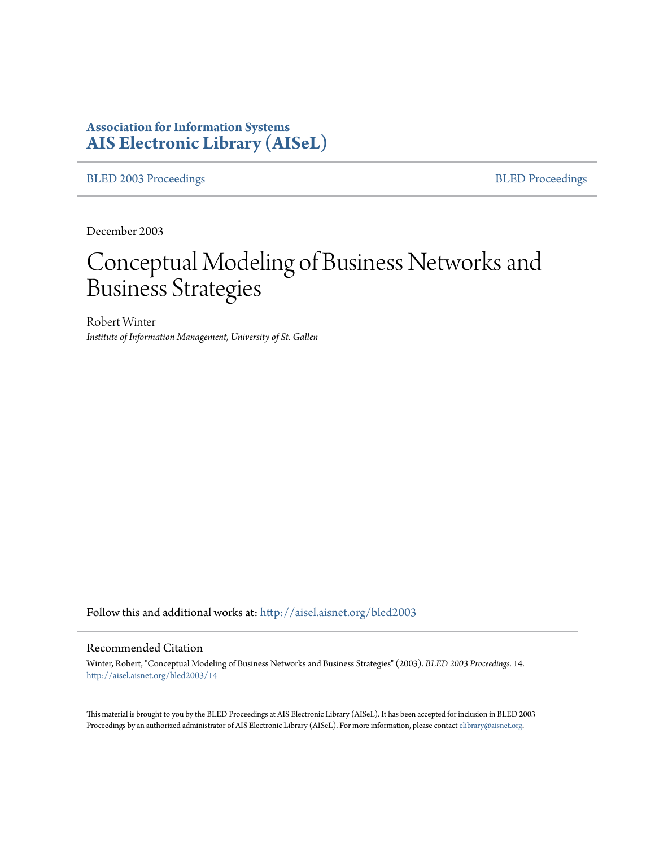# **Association for Information Systems [AIS Electronic Library \(AISeL\)](http://aisel.aisnet.org?utm_source=aisel.aisnet.org%2Fbled2003%2F14&utm_medium=PDF&utm_campaign=PDFCoverPages)**

[BLED 2003 Proceedings](http://aisel.aisnet.org/bled2003?utm_source=aisel.aisnet.org%2Fbled2003%2F14&utm_medium=PDF&utm_campaign=PDFCoverPages) **[BLED Proceedings](http://aisel.aisnet.org/bled?utm_source=aisel.aisnet.org%2Fbled2003%2F14&utm_medium=PDF&utm_campaign=PDFCoverPages)** 

December 2003

# Conceptual Modeling of Business Networks and Business Strategies

Robert Winter *Institute of Information Management, University of St. Gallen*

Follow this and additional works at: [http://aisel.aisnet.org/bled2003](http://aisel.aisnet.org/bled2003?utm_source=aisel.aisnet.org%2Fbled2003%2F14&utm_medium=PDF&utm_campaign=PDFCoverPages)

#### Recommended Citation

Winter, Robert, "Conceptual Modeling of Business Networks and Business Strategies" (2003). *BLED 2003 Proceedings*. 14. [http://aisel.aisnet.org/bled2003/14](http://aisel.aisnet.org/bled2003/14?utm_source=aisel.aisnet.org%2Fbled2003%2F14&utm_medium=PDF&utm_campaign=PDFCoverPages)

This material is brought to you by the BLED Proceedings at AIS Electronic Library (AISeL). It has been accepted for inclusion in BLED 2003 Proceedings by an authorized administrator of AIS Electronic Library (AISeL). For more information, please contact [elibrary@aisnet.org](mailto:elibrary@aisnet.org%3E).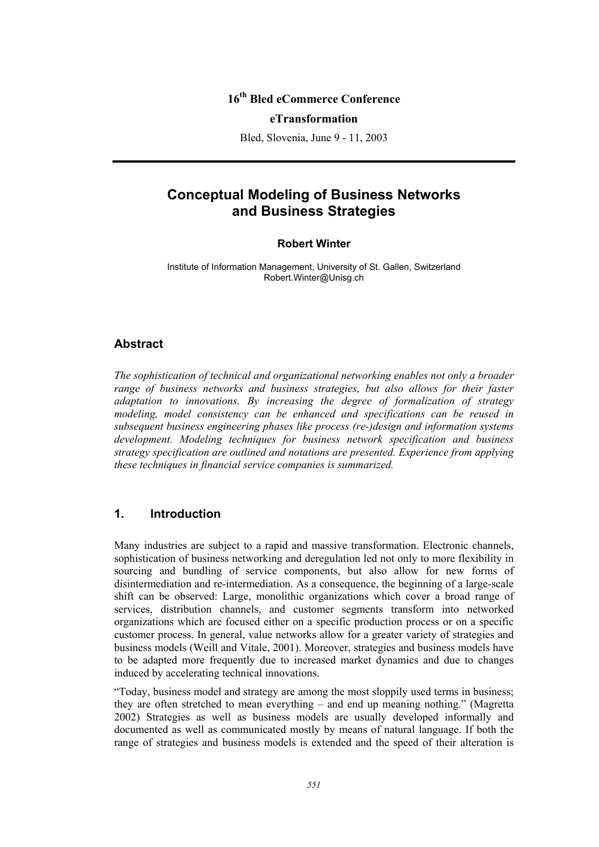## **16th Bled eCommerce Conference**

#### **eTransformation**

Bled, Slovenia, June 9 - 11, 2003

# **Conceptual Modeling of Business Networks and Business Strategies**

#### **Robert Winter**

Institute of Information Management, University of St. Gallen, Switzerland Robert.Winter@Unisg.ch

#### **Abstract**

*The sophistication of technical and organizational networking enables not only a broader*  range of business networks and business strategies, but also allows for their faster *adaptation to innovations. By increasing the degree of formalization of strategy modeling, model consistency can be enhanced and specifications can be reused in subsequent business engineering phases like process (re-)design and information systems development. Modeling techniques for business network specification and business strategy specification are outlined and notations are presented. Experience from applying these techniques in financial service companies is summarized.* 

# **1. Introduction**

Many industries are subject to a rapid and massive transformation. Electronic channels, sophistication of business networking and deregulation led not only to more flexibility in sourcing and bundling of service components, but also allow for new forms of disintermediation and re-intermediation. As a consequence, the beginning of a large-scale shift can be observed: Large, monolithic organizations which cover a broad range of services, distribution channels, and customer segments transform into networked organizations which are focused either on a specific production process or on a specific customer process. In general, value networks allow for a greater variety of strategies and business models (Weill and Vitale, 2001). Moreover, strategies and business models have to be adapted more frequently due to increased market dynamics and due to changes induced by accelerating technical innovations.

"Today, business model and strategy are among the most sloppily used terms in business; they are often stretched to mean everything – and end up meaning nothing." (Magretta 2002) Strategies as well as business models are usually developed informally and documented as well as communicated mostly by means of natural language. If both the range of strategies and business models is extended and the speed of their alteration is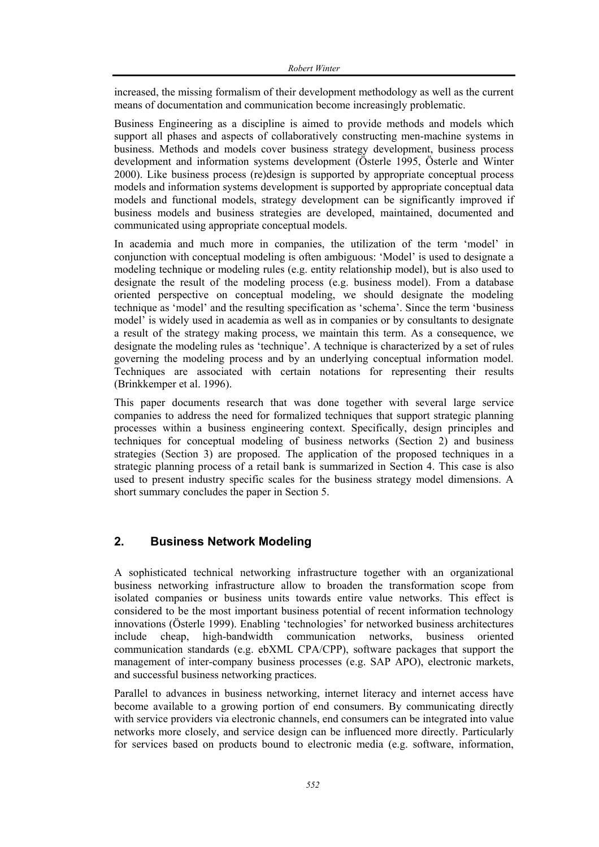increased, the missing formalism of their development methodology as well as the current means of documentation and communication become increasingly problematic.

Business Engineering as a discipline is aimed to provide methods and models which support all phases and aspects of collaboratively constructing men-machine systems in business. Methods and models cover business strategy development, business process development and information systems development (Österle 1995, Österle and Winter 2000). Like business process (re)design is supported by appropriate conceptual process models and information systems development is supported by appropriate conceptual data models and functional models, strategy development can be significantly improved if business models and business strategies are developed, maintained, documented and communicated using appropriate conceptual models.

In academia and much more in companies, the utilization of the term 'model' in conjunction with conceptual modeling is often ambiguous: 'Model' is used to designate a modeling technique or modeling rules (e.g. entity relationship model), but is also used to designate the result of the modeling process (e.g. business model). From a database oriented perspective on conceptual modeling, we should designate the modeling technique as 'model' and the resulting specification as 'schema'. Since the term 'business model' is widely used in academia as well as in companies or by consultants to designate a result of the strategy making process, we maintain this term. As a consequence, we designate the modeling rules as 'technique'. A technique is characterized by a set of rules governing the modeling process and by an underlying conceptual information model. Techniques are associated with certain notations for representing their results (Brinkkemper et al. 1996).

This paper documents research that was done together with several large service companies to address the need for formalized techniques that support strategic planning processes within a business engineering context. Specifically, design principles and techniques for conceptual modeling of business networks (Section 2) and business strategies (Section 3) are proposed. The application of the proposed techniques in a strategic planning process of a retail bank is summarized in Section 4. This case is also used to present industry specific scales for the business strategy model dimensions. A short summary concludes the paper in Section 5.

# **2. Business Network Modeling**

A sophisticated technical networking infrastructure together with an organizational business networking infrastructure allow to broaden the transformation scope from isolated companies or business units towards entire value networks. This effect is considered to be the most important business potential of recent information technology innovations (Österle 1999). Enabling 'technologies' for networked business architectures include cheap, high-bandwidth communication networks, business oriented communication standards (e.g. ebXML CPA/CPP), software packages that support the management of inter-company business processes (e.g. SAP APO), electronic markets, and successful business networking practices.

Parallel to advances in business networking, internet literacy and internet access have become available to a growing portion of end consumers. By communicating directly with service providers via electronic channels, end consumers can be integrated into value networks more closely, and service design can be influenced more directly. Particularly for services based on products bound to electronic media (e.g. software, information,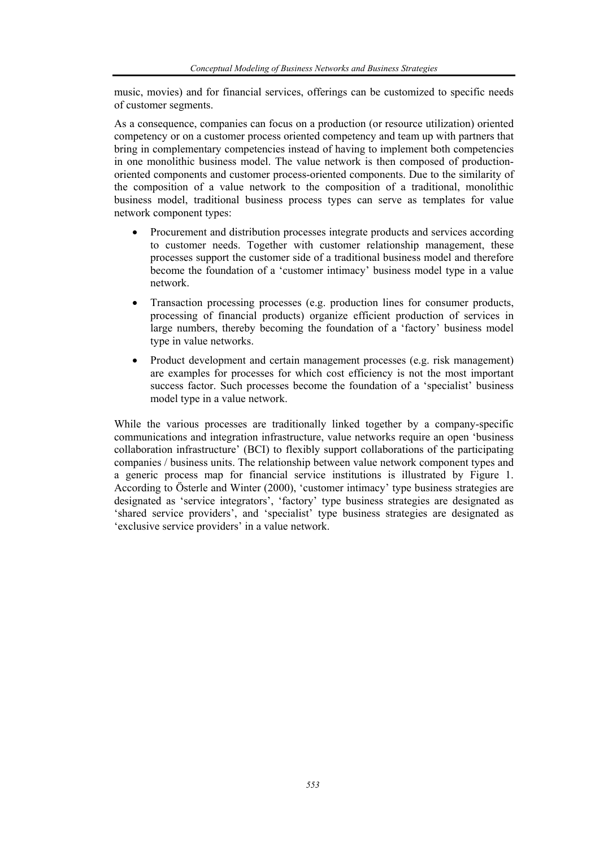music, movies) and for financial services, offerings can be customized to specific needs of customer segments.

As a consequence, companies can focus on a production (or resource utilization) oriented competency or on a customer process oriented competency and team up with partners that bring in complementary competencies instead of having to implement both competencies in one monolithic business model. The value network is then composed of productionoriented components and customer process-oriented components. Due to the similarity of the composition of a value network to the composition of a traditional, monolithic business model, traditional business process types can serve as templates for value network component types:

- Procurement and distribution processes integrate products and services according to customer needs. Together with customer relationship management, these processes support the customer side of a traditional business model and therefore become the foundation of a 'customer intimacy' business model type in a value network.
- Transaction processing processes (e.g. production lines for consumer products, processing of financial products) organize efficient production of services in large numbers, thereby becoming the foundation of a 'factory' business model type in value networks.
- Product development and certain management processes (e.g. risk management) are examples for processes for which cost efficiency is not the most important success factor. Such processes become the foundation of a 'specialist' business model type in a value network.

While the various processes are traditionally linked together by a company-specific communications and integration infrastructure, value networks require an open 'business collaboration infrastructure' (BCI) to flexibly support collaborations of the participating companies / business units. The relationship between value network component types and a generic process map for financial service institutions is illustrated by Figure 1. According to Österle and Winter (2000), 'customer intimacy' type business strategies are designated as 'service integrators', 'factory' type business strategies are designated as 'shared service providers', and 'specialist' type business strategies are designated as 'exclusive service providers' in a value network.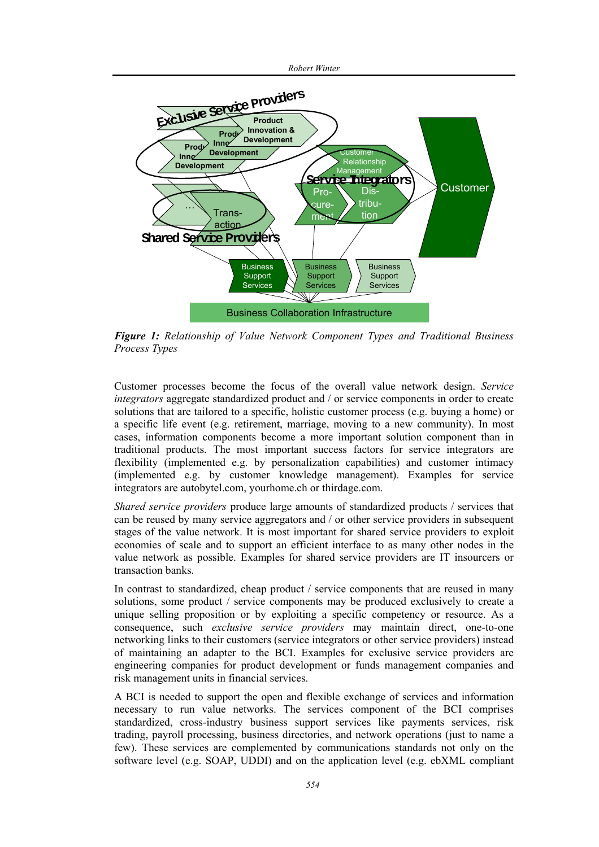



*Figure 1: Relationship of Value Network Component Types and Traditional Business Process Types* 

Customer processes become the focus of the overall value network design. *Service integrators* aggregate standardized product and / or service components in order to create solutions that are tailored to a specific, holistic customer process (e.g. buying a home) or a specific life event (e.g. retirement, marriage, moving to a new community). In most cases, information components become a more important solution component than in traditional products. The most important success factors for service integrators are flexibility (implemented e.g. by personalization capabilities) and customer intimacy (implemented e.g. by customer knowledge management). Examples for service integrators are autobytel.com, yourhome.ch or thirdage.com.

*Shared service providers* produce large amounts of standardized products / services that can be reused by many service aggregators and / or other service providers in subsequent stages of the value network. It is most important for shared service providers to exploit economies of scale and to support an efficient interface to as many other nodes in the value network as possible. Examples for shared service providers are IT insourcers or transaction banks.

In contrast to standardized, cheap product / service components that are reused in many solutions, some product / service components may be produced exclusively to create a unique selling proposition or by exploiting a specific competency or resource. As a consequence, such *exclusive service providers* may maintain direct, one-to-one networking links to their customers (service integrators or other service providers) instead of maintaining an adapter to the BCI. Examples for exclusive service providers are engineering companies for product development or funds management companies and risk management units in financial services.

A BCI is needed to support the open and flexible exchange of services and information necessary to run value networks. The services component of the BCI comprises standardized, cross-industry business support services like payments services, risk trading, payroll processing, business directories, and network operations (just to name a few). These services are complemented by communications standards not only on the software level (e.g. SOAP, UDDI) and on the application level (e.g. ebXML compliant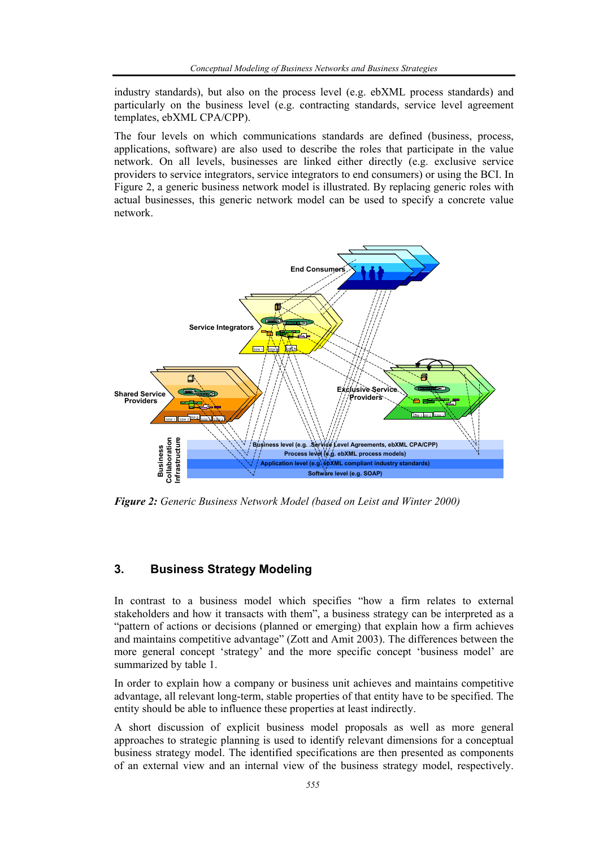industry standards), but also on the process level (e.g. ebXML process standards) and particularly on the business level (e.g. contracting standards, service level agreement templates, ebXML CPA/CPP).

The four levels on which communications standards are defined (business, process, applications, software) are also used to describe the roles that participate in the value network. On all levels, businesses are linked either directly (e.g. exclusive service providers to service integrators, service integrators to end consumers) or using the BCI. In Figure 2, a generic business network model is illustrated. By replacing generic roles with actual businesses, this generic network model can be used to specify a concrete value network.



*Figure 2: Generic Business Network Model (based on Leist and Winter 2000)* 

# **3. Business Strategy Modeling**

In contrast to a business model which specifies "how a firm relates to external stakeholders and how it transacts with them", a business strategy can be interpreted as a "pattern of actions or decisions (planned or emerging) that explain how a firm achieves and maintains competitive advantage" (Zott and Amit 2003). The differences between the more general concept 'strategy' and the more specific concept 'business model' are summarized by table 1.

In order to explain how a company or business unit achieves and maintains competitive advantage, all relevant long-term, stable properties of that entity have to be specified. The entity should be able to influence these properties at least indirectly.

A short discussion of explicit business model proposals as well as more general approaches to strategic planning is used to identify relevant dimensions for a conceptual business strategy model. The identified specifications are then presented as components of an external view and an internal view of the business strategy model, respectively.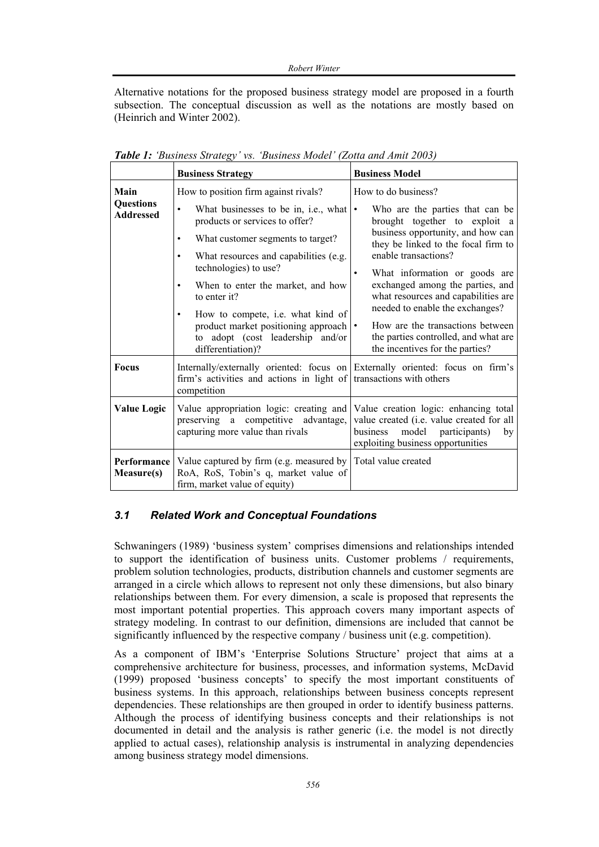Alternative notations for the proposed business strategy model are proposed in a fourth subsection. The conceptual discussion as well as the notations are mostly based on (Heinrich and Winter 2002).

|                                      | <b>Business Strategy</b>                                                                                                                                                                                                                                                                                                                                                                       | <b>Business Model</b>                                                                                                                                                                                                                                                                                                                                                                                                                                |
|--------------------------------------|------------------------------------------------------------------------------------------------------------------------------------------------------------------------------------------------------------------------------------------------------------------------------------------------------------------------------------------------------------------------------------------------|------------------------------------------------------------------------------------------------------------------------------------------------------------------------------------------------------------------------------------------------------------------------------------------------------------------------------------------------------------------------------------------------------------------------------------------------------|
| Main                                 | How to position firm against rivals?                                                                                                                                                                                                                                                                                                                                                           | How to do business?                                                                                                                                                                                                                                                                                                                                                                                                                                  |
| <b>Questions</b><br><b>Addressed</b> | What businesses to be in, i.e., what<br>$\bullet$<br>products or services to offer?<br>What customer segments to target?<br>What resources and capabilities (e.g.<br>technologies) to use?<br>When to enter the market, and how<br>to enter it?<br>How to compete, <i>i.e.</i> what kind of<br>product market positioning approach<br>adopt (cost leadership and/or<br>to<br>differentiation)? | Who are the parties that can be<br>$\bullet$<br>brought together to exploit a<br>business opportunity, and how can<br>they be linked to the focal firm to<br>enable transactions?<br>What information or goods are<br>٠<br>exchanged among the parties, and<br>what resources and capabilities are<br>needed to enable the exchanges?<br>How are the transactions between<br>the parties controlled, and what are<br>the incentives for the parties? |
| <b>Focus</b>                         | Internally/externally oriented: focus on<br>firm's activities and actions in light of<br>competition                                                                                                                                                                                                                                                                                           | Externally oriented: focus on firm's<br>transactions with others                                                                                                                                                                                                                                                                                                                                                                                     |
| <b>Value Logic</b>                   | Value appropriation logic: creating and<br>preserving a competitive advantage,<br>capturing more value than rivals                                                                                                                                                                                                                                                                             | Value creation logic: enhancing total<br>value created (i.e. value created for all<br>model<br>participants)<br>business<br>by<br>exploiting business opportunities                                                                                                                                                                                                                                                                                  |
| Performance<br><b>Measure(s)</b>     | Value captured by firm (e.g. measured by<br>RoA, RoS, Tobin's q, market value of<br>firm, market value of equity)                                                                                                                                                                                                                                                                              | Total value created                                                                                                                                                                                                                                                                                                                                                                                                                                  |

*Table 1: 'Business Strategy' vs. 'Business Model' (Zotta and Amit 2003)* 

## *3.1 Related Work and Conceptual Foundations*

Schwaningers (1989) 'business system' comprises dimensions and relationships intended to support the identification of business units. Customer problems / requirements, problem solution technologies, products, distribution channels and customer segments are arranged in a circle which allows to represent not only these dimensions, but also binary relationships between them. For every dimension, a scale is proposed that represents the most important potential properties. This approach covers many important aspects of strategy modeling. In contrast to our definition, dimensions are included that cannot be significantly influenced by the respective company / business unit (e.g. competition).

As a component of IBM's 'Enterprise Solutions Structure' project that aims at a comprehensive architecture for business, processes, and information systems, McDavid (1999) proposed 'business concepts' to specify the most important constituents of business systems. In this approach, relationships between business concepts represent dependencies. These relationships are then grouped in order to identify business patterns. Although the process of identifying business concepts and their relationships is not documented in detail and the analysis is rather generic (i.e. the model is not directly applied to actual cases), relationship analysis is instrumental in analyzing dependencies among business strategy model dimensions.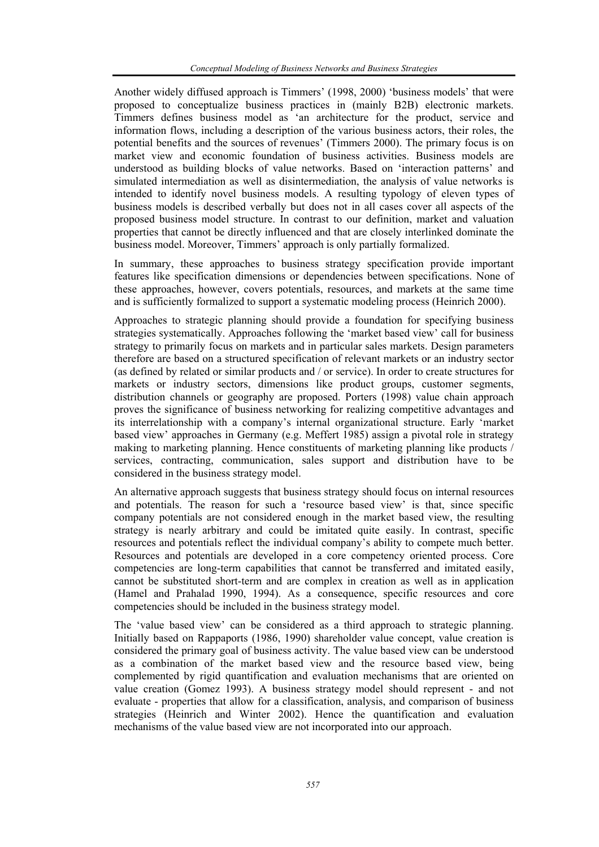Another widely diffused approach is Timmers' (1998, 2000) 'business models' that were proposed to conceptualize business practices in (mainly B2B) electronic markets. Timmers defines business model as 'an architecture for the product, service and information flows, including a description of the various business actors, their roles, the potential benefits and the sources of revenues' (Timmers 2000). The primary focus is on market view and economic foundation of business activities. Business models are understood as building blocks of value networks. Based on 'interaction patterns' and simulated intermediation as well as disintermediation, the analysis of value networks is intended to identify novel business models. A resulting typology of eleven types of business models is described verbally but does not in all cases cover all aspects of the proposed business model structure. In contrast to our definition, market and valuation properties that cannot be directly influenced and that are closely interlinked dominate the business model. Moreover, Timmers' approach is only partially formalized.

In summary, these approaches to business strategy specification provide important features like specification dimensions or dependencies between specifications. None of these approaches, however, covers potentials, resources, and markets at the same time and is sufficiently formalized to support a systematic modeling process (Heinrich 2000).

Approaches to strategic planning should provide a foundation for specifying business strategies systematically. Approaches following the 'market based view' call for business strategy to primarily focus on markets and in particular sales markets. Design parameters therefore are based on a structured specification of relevant markets or an industry sector (as defined by related or similar products and / or service). In order to create structures for markets or industry sectors, dimensions like product groups, customer segments, distribution channels or geography are proposed. Porters (1998) value chain approach proves the significance of business networking for realizing competitive advantages and its interrelationship with a company's internal organizational structure. Early 'market based view' approaches in Germany (e.g. Meffert 1985) assign a pivotal role in strategy making to marketing planning. Hence constituents of marketing planning like products / services, contracting, communication, sales support and distribution have to be considered in the business strategy model.

An alternative approach suggests that business strategy should focus on internal resources and potentials. The reason for such a 'resource based view' is that, since specific company potentials are not considered enough in the market based view, the resulting strategy is nearly arbitrary and could be imitated quite easily. In contrast, specific resources and potentials reflect the individual company's ability to compete much better. Resources and potentials are developed in a core competency oriented process. Core competencies are long-term capabilities that cannot be transferred and imitated easily, cannot be substituted short-term and are complex in creation as well as in application (Hamel and Prahalad 1990, 1994). As a consequence, specific resources and core competencies should be included in the business strategy model.

The 'value based view' can be considered as a third approach to strategic planning. Initially based on Rappaports (1986, 1990) shareholder value concept, value creation is considered the primary goal of business activity. The value based view can be understood as a combination of the market based view and the resource based view, being complemented by rigid quantification and evaluation mechanisms that are oriented on value creation (Gomez 1993). A business strategy model should represent - and not evaluate - properties that allow for a classification, analysis, and comparison of business strategies (Heinrich and Winter 2002). Hence the quantification and evaluation mechanisms of the value based view are not incorporated into our approach.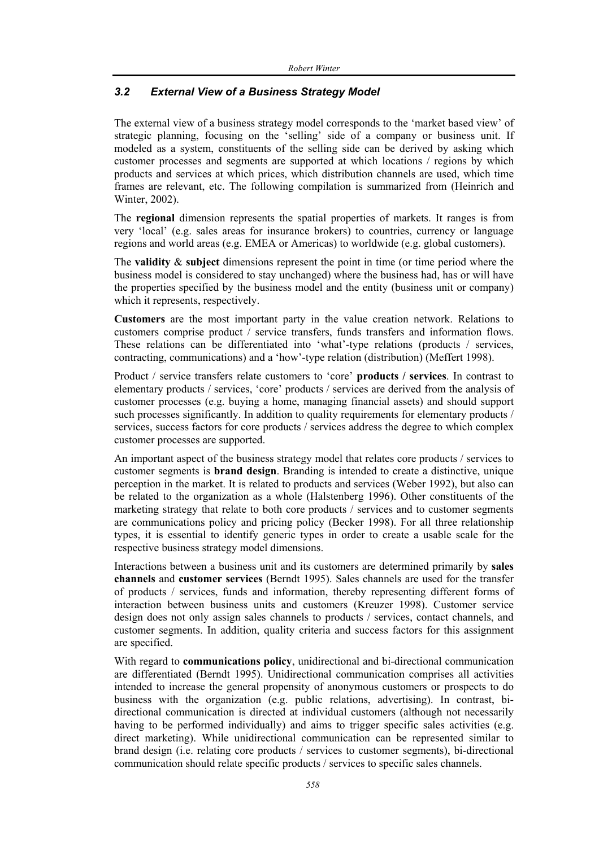## *3.2 External View of a Business Strategy Model*

The external view of a business strategy model corresponds to the 'market based view' of strategic planning, focusing on the 'selling' side of a company or business unit. If modeled as a system, constituents of the selling side can be derived by asking which customer processes and segments are supported at which locations / regions by which products and services at which prices, which distribution channels are used, which time frames are relevant, etc. The following compilation is summarized from (Heinrich and Winter, 2002).

The **regional** dimension represents the spatial properties of markets. It ranges is from very 'local' (e.g. sales areas for insurance brokers) to countries, currency or language regions and world areas (e.g. EMEA or Americas) to worldwide (e.g. global customers).

The **validity** & **subject** dimensions represent the point in time (or time period where the business model is considered to stay unchanged) where the business had, has or will have the properties specified by the business model and the entity (business unit or company) which it represents, respectively.

**Customers** are the most important party in the value creation network. Relations to customers comprise product / service transfers, funds transfers and information flows. These relations can be differentiated into 'what'-type relations (products / services, contracting, communications) and a 'how'-type relation (distribution) (Meffert 1998).

Product / service transfers relate customers to 'core' **products / services**. In contrast to elementary products / services, 'core' products / services are derived from the analysis of customer processes (e.g. buying a home, managing financial assets) and should support such processes significantly. In addition to quality requirements for elementary products / services, success factors for core products / services address the degree to which complex customer processes are supported.

An important aspect of the business strategy model that relates core products / services to customer segments is **brand design**. Branding is intended to create a distinctive, unique perception in the market. It is related to products and services (Weber 1992), but also can be related to the organization as a whole (Halstenberg 1996). Other constituents of the marketing strategy that relate to both core products / services and to customer segments are communications policy and pricing policy (Becker 1998). For all three relationship types, it is essential to identify generic types in order to create a usable scale for the respective business strategy model dimensions.

Interactions between a business unit and its customers are determined primarily by **sales channels** and **customer services** (Berndt 1995). Sales channels are used for the transfer of products / services, funds and information, thereby representing different forms of interaction between business units and customers (Kreuzer 1998). Customer service design does not only assign sales channels to products / services, contact channels, and customer segments. In addition, quality criteria and success factors for this assignment are specified.

With regard to **communications policy**, unidirectional and bi-directional communication are differentiated (Berndt 1995). Unidirectional communication comprises all activities intended to increase the general propensity of anonymous customers or prospects to do business with the organization (e.g. public relations, advertising). In contrast, bidirectional communication is directed at individual customers (although not necessarily having to be performed individually) and aims to trigger specific sales activities (e.g. direct marketing). While unidirectional communication can be represented similar to brand design (i.e. relating core products / services to customer segments), bi-directional communication should relate specific products / services to specific sales channels.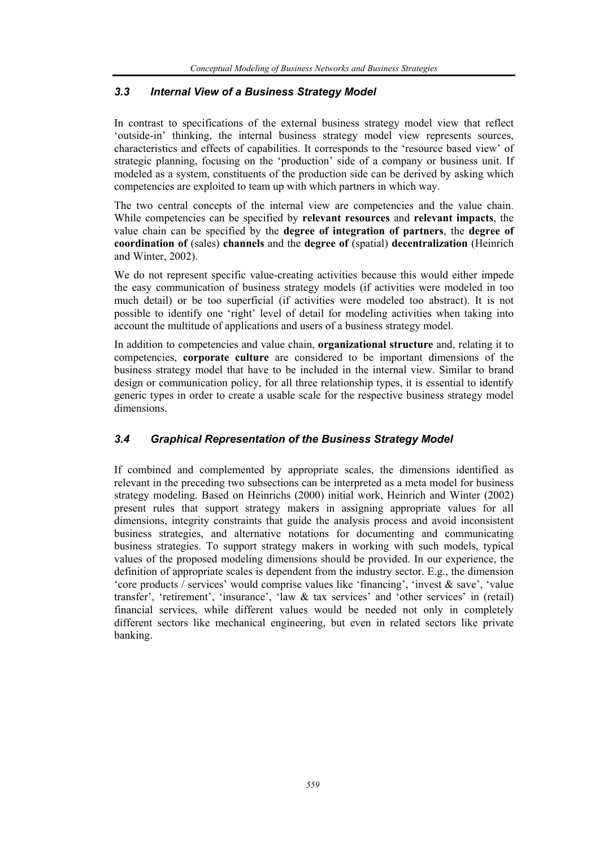#### *3.3 Internal View of a Business Strategy Model*

In contrast to specifications of the external business strategy model view that reflect 'outside-in' thinking, the internal business strategy model view represents sources, characteristics and effects of capabilities. It corresponds to the 'resource based view' of strategic planning, focusing on the 'production' side of a company or business unit. If modeled as a system, constituents of the production side can be derived by asking which competencies are exploited to team up with which partners in which way.

The two central concepts of the internal view are competencies and the value chain. While competencies can be specified by **relevant resources** and **relevant impacts**, the value chain can be specified by the **degree of integration of partners**, the **degree of coordination of** (sales) **channels** and the **degree of** (spatial) **decentralization** (Heinrich and Winter, 2002).

We do not represent specific value-creating activities because this would either impede the easy communication of business strategy models (if activities were modeled in too much detail) or be too superficial (if activities were modeled too abstract). It is not possible to identify one 'right' level of detail for modeling activities when taking into account the multitude of applications and users of a business strategy model.

In addition to competencies and value chain, **organizational structure** and, relating it to competencies, **corporate culture** are considered to be important dimensions of the business strategy model that have to be included in the internal view. Similar to brand design or communication policy, for all three relationship types, it is essential to identify generic types in order to create a usable scale for the respective business strategy model dimensions.

#### *3.4 Graphical Representation of the Business Strategy Model*

If combined and complemented by appropriate scales, the dimensions identified as relevant in the preceding two subsections can be interpreted as a meta model for business strategy modeling. Based on Heinrichs (2000) initial work, Heinrich and Winter (2002) present rules that support strategy makers in assigning appropriate values for all dimensions, integrity constraints that guide the analysis process and avoid inconsistent business strategies, and alternative notations for documenting and communicating business strategies. To support strategy makers in working with such models, typical values of the proposed modeling dimensions should be provided. In our experience, the definition of appropriate scales is dependent from the industry sector. E.g., the dimension 'core products / services' would comprise values like 'financing', 'invest & save', 'value transfer', 'retirement', 'insurance', 'law & tax services' and 'other services' in (retail) financial services, while different values would be needed not only in completely different sectors like mechanical engineering, but even in related sectors like private banking.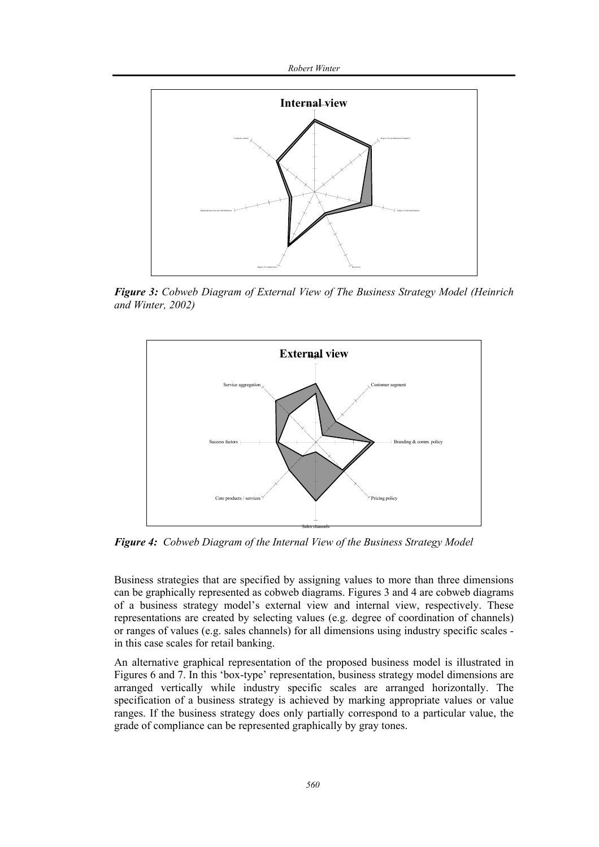*Robert Winter* 



*Figure 3: Cobweb Diagram of External View of The Business Strategy Model (Heinrich and Winter, 2002)* 



*Figure 4: Cobweb Diagram of the Internal View of the Business Strategy Model* 

Business strategies that are specified by assigning values to more than three dimensions can be graphically represented as cobweb diagrams. Figures 3 and 4 are cobweb diagrams of a business strategy model's external view and internal view, respectively. These representations are created by selecting values (e.g. degree of coordination of channels) or ranges of values (e.g. sales channels) for all dimensions using industry specific scales in this case scales for retail banking.

An alternative graphical representation of the proposed business model is illustrated in Figures 6 and 7. In this 'box-type' representation, business strategy model dimensions are arranged vertically while industry specific scales are arranged horizontally. The specification of a business strategy is achieved by marking appropriate values or value ranges. If the business strategy does only partially correspond to a particular value, the grade of compliance can be represented graphically by gray tones.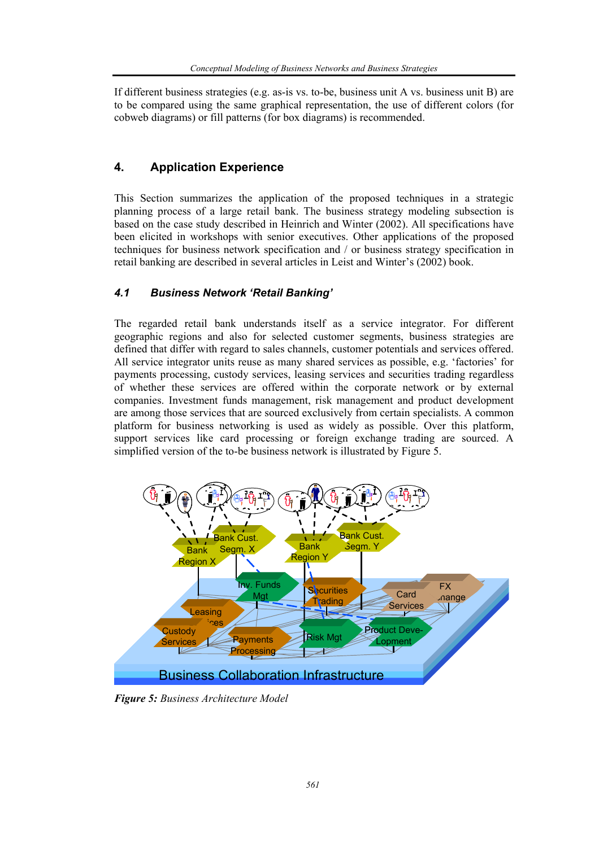If different business strategies (e.g. as-is vs. to-be, business unit A vs. business unit B) are to be compared using the same graphical representation, the use of different colors (for cobweb diagrams) or fill patterns (for box diagrams) is recommended.

# **4. Application Experience**

This Section summarizes the application of the proposed techniques in a strategic planning process of a large retail bank. The business strategy modeling subsection is based on the case study described in Heinrich and Winter (2002). All specifications have been elicited in workshops with senior executives. Other applications of the proposed techniques for business network specification and / or business strategy specification in retail banking are described in several articles in Leist and Winter's (2002) book.

# *4.1 Business Network 'Retail Banking'*

The regarded retail bank understands itself as a service integrator. For different geographic regions and also for selected customer segments, business strategies are defined that differ with regard to sales channels, customer potentials and services offered. All service integrator units reuse as many shared services as possible, e.g. 'factories' for payments processing, custody services, leasing services and securities trading regardless of whether these services are offered within the corporate network or by external companies. Investment funds management, risk management and product development are among those services that are sourced exclusively from certain specialists. A common platform for business networking is used as widely as possible. Over this platform, support services like card processing or foreign exchange trading are sourced. A simplified version of the to-be business network is illustrated by Figure 5.



*Figure 5: Business Architecture Model*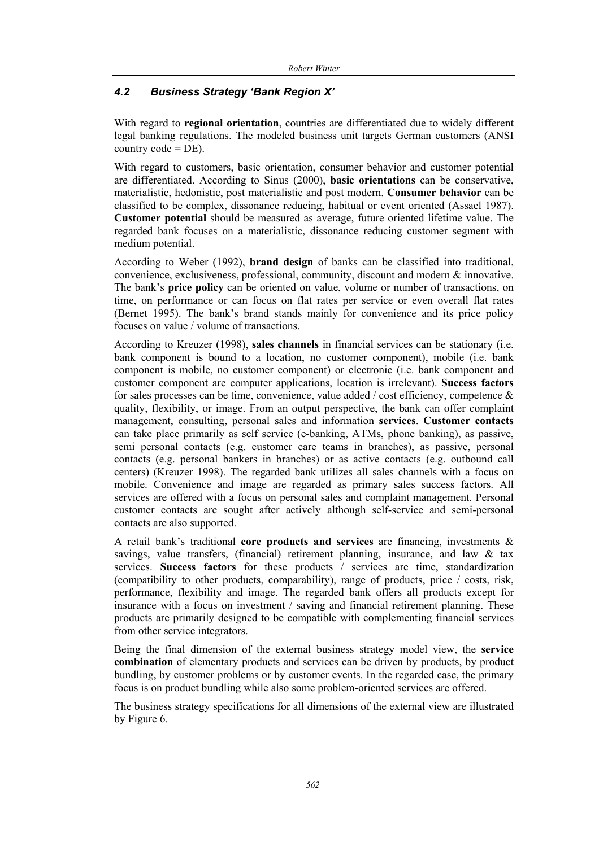## *4.2 Business Strategy 'Bank Region X'*

With regard to **regional orientation**, countries are differentiated due to widely different legal banking regulations. The modeled business unit targets German customers (ANSI country  $code = DE$ ).

With regard to customers, basic orientation, consumer behavior and customer potential are differentiated. According to Sinus (2000), **basic orientations** can be conservative, materialistic, hedonistic, post materialistic and post modern. **Consumer behavior** can be classified to be complex, dissonance reducing, habitual or event oriented (Assael 1987). **Customer potential** should be measured as average, future oriented lifetime value. The regarded bank focuses on a materialistic, dissonance reducing customer segment with medium potential.

According to Weber (1992), **brand design** of banks can be classified into traditional, convenience, exclusiveness, professional, community, discount and modern & innovative. The bank's **price policy** can be oriented on value, volume or number of transactions, on time, on performance or can focus on flat rates per service or even overall flat rates (Bernet 1995). The bank's brand stands mainly for convenience and its price policy focuses on value / volume of transactions.

According to Kreuzer (1998), **sales channels** in financial services can be stationary (i.e. bank component is bound to a location, no customer component), mobile (i.e. bank component is mobile, no customer component) or electronic (i.e. bank component and customer component are computer applications, location is irrelevant). **Success factors**  for sales processes can be time, convenience, value added / cost efficiency, competence  $\&$ quality, flexibility, or image. From an output perspective, the bank can offer complaint management, consulting, personal sales and information **services**. **Customer contacts**  can take place primarily as self service (e-banking, ATMs, phone banking), as passive, semi personal contacts (e.g. customer care teams in branches), as passive, personal contacts (e.g. personal bankers in branches) or as active contacts (e.g. outbound call centers) (Kreuzer 1998). The regarded bank utilizes all sales channels with a focus on mobile. Convenience and image are regarded as primary sales success factors. All services are offered with a focus on personal sales and complaint management. Personal customer contacts are sought after actively although self-service and semi-personal contacts are also supported.

A retail bank's traditional **core products and services** are financing, investments & savings, value transfers, (financial) retirement planning, insurance, and law & tax services. **Success factors** for these products / services are time, standardization (compatibility to other products, comparability), range of products, price / costs, risk, performance, flexibility and image. The regarded bank offers all products except for insurance with a focus on investment / saving and financial retirement planning. These products are primarily designed to be compatible with complementing financial services from other service integrators.

Being the final dimension of the external business strategy model view, the **service combination** of elementary products and services can be driven by products, by product bundling, by customer problems or by customer events. In the regarded case, the primary focus is on product bundling while also some problem-oriented services are offered.

The business strategy specifications for all dimensions of the external view are illustrated by Figure 6.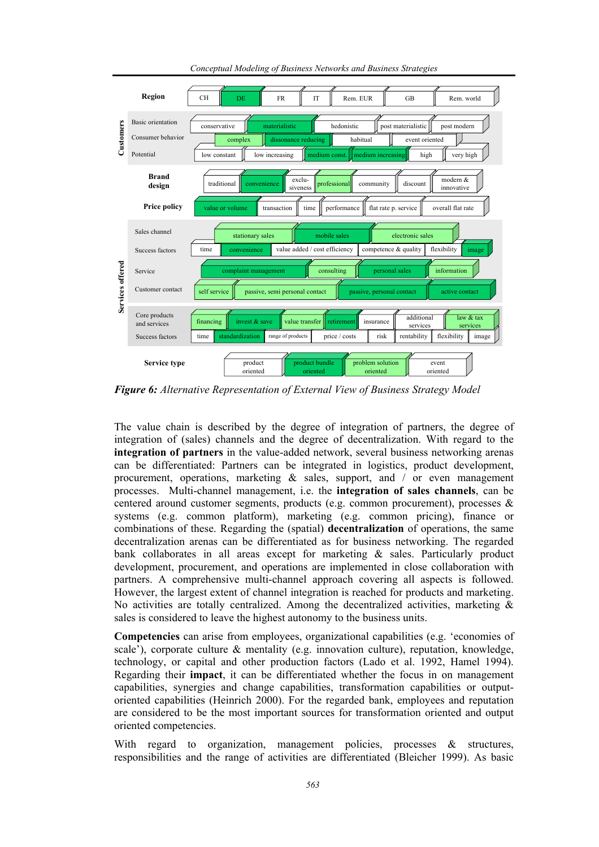

*Conceptual Modeling of Business Networks and Business Strategies* 

*Figure 6: Alternative Representation of External View of Business Strategy Model* 

The value chain is described by the degree of integration of partners, the degree of integration of (sales) channels and the degree of decentralization. With regard to the **integration of partners** in the value-added network, several business networking arenas can be differentiated: Partners can be integrated in logistics, product development, procurement, operations, marketing  $\&$  sales, support, and  $\prime$  or even management processes. Multi-channel management, i.e. the **integration of sales channels**, can be centered around customer segments, products (e.g. common procurement), processes & systems (e.g. common platform), marketing (e.g. common pricing), finance or combinations of these. Regarding the (spatial) **decentralization** of operations, the same decentralization arenas can be differentiated as for business networking. The regarded bank collaborates in all areas except for marketing & sales. Particularly product development, procurement, and operations are implemented in close collaboration with partners. A comprehensive multi-channel approach covering all aspects is followed. However, the largest extent of channel integration is reached for products and marketing. No activities are totally centralized. Among the decentralized activities, marketing  $\&$ sales is considered to leave the highest autonomy to the business units.

**Competencies** can arise from employees, organizational capabilities (e.g. 'economies of scale'), corporate culture & mentality (e.g. innovation culture), reputation, knowledge, technology, or capital and other production factors (Lado et al. 1992, Hamel 1994). Regarding their **impact**, it can be differentiated whether the focus in on management capabilities, synergies and change capabilities, transformation capabilities or outputoriented capabilities (Heinrich 2000). For the regarded bank, employees and reputation are considered to be the most important sources for transformation oriented and output oriented competencies.

With regard to organization, management policies, processes & structures, responsibilities and the range of activities are differentiated (Bleicher 1999). As basic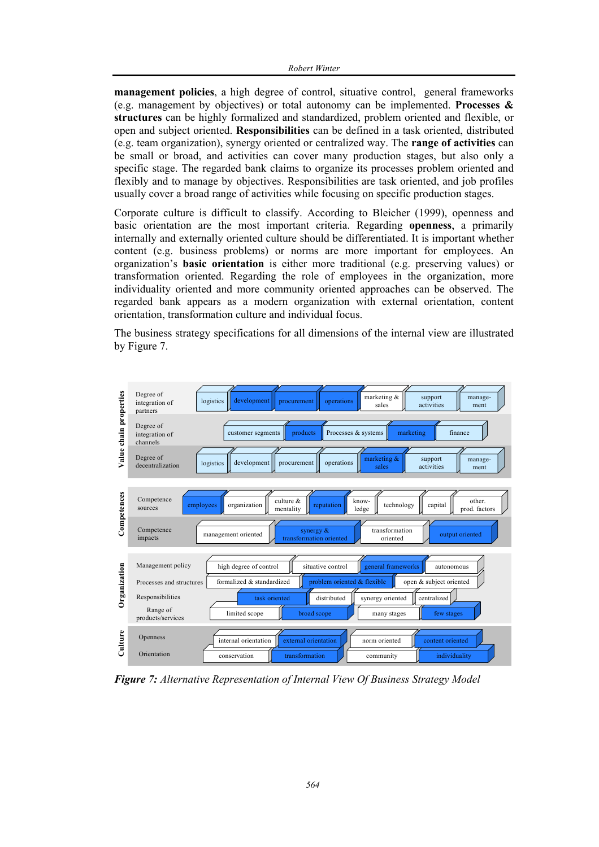**management policies**, a high degree of control, situative control, general frameworks (e.g. management by objectives) or total autonomy can be implemented. **Processes & structures** can be highly formalized and standardized, problem oriented and flexible, or open and subject oriented. **Responsibilities** can be defined in a task oriented, distributed (e.g. team organization), synergy oriented or centralized way. The **range of activities** can be small or broad, and activities can cover many production stages, but also only a specific stage. The regarded bank claims to organize its processes problem oriented and flexibly and to manage by objectives. Responsibilities are task oriented, and job profiles usually cover a broad range of activities while focusing on specific production stages.

Corporate culture is difficult to classify. According to Bleicher (1999), openness and basic orientation are the most important criteria. Regarding **openness**, a primarily internally and externally oriented culture should be differentiated. It is important whether content (e.g. business problems) or norms are more important for employees. An organization's **basic orientation** is either more traditional (e.g. preserving values) or transformation oriented. Regarding the role of employees in the organization, more individuality oriented and more community oriented approaches can be observed. The regarded bank appears as a modern organization with external orientation, content orientation, transformation culture and individual focus.

The business strategy specifications for all dimensions of the internal view are illustrated by Figure 7.



*Figure 7: Alternative Representation of Internal View Of Business Strategy Model*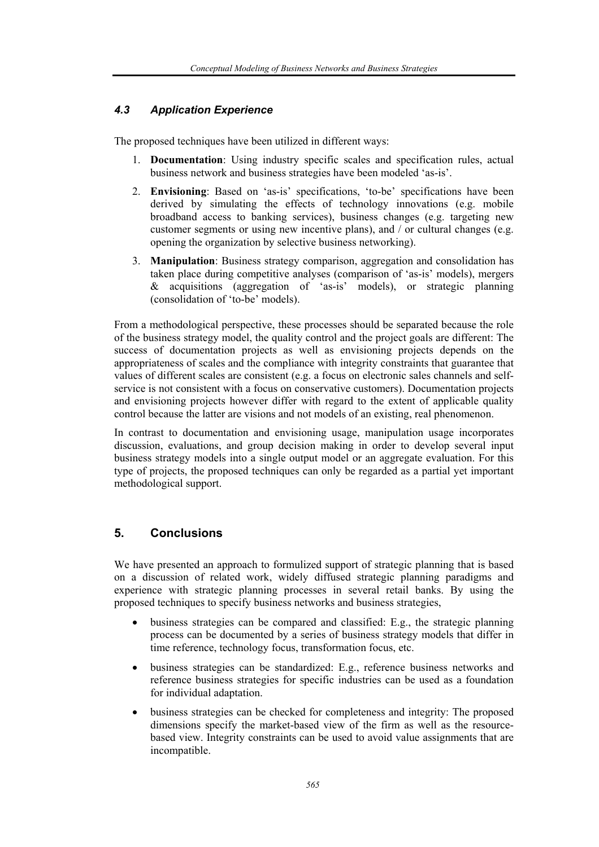### *4.3 Application Experience*

The proposed techniques have been utilized in different ways:

- 1. **Documentation**: Using industry specific scales and specification rules, actual business network and business strategies have been modeled 'as-is'.
- 2. **Envisioning**: Based on 'as-is' specifications, 'to-be' specifications have been derived by simulating the effects of technology innovations (e.g. mobile broadband access to banking services), business changes (e.g. targeting new customer segments or using new incentive plans), and / or cultural changes (e.g. opening the organization by selective business networking).
- 3. **Manipulation**: Business strategy comparison, aggregation and consolidation has taken place during competitive analyses (comparison of 'as-is' models), mergers & acquisitions (aggregation of 'as-is' models), or strategic planning (consolidation of 'to-be' models).

From a methodological perspective, these processes should be separated because the role of the business strategy model, the quality control and the project goals are different: The success of documentation projects as well as envisioning projects depends on the appropriateness of scales and the compliance with integrity constraints that guarantee that values of different scales are consistent (e.g. a focus on electronic sales channels and selfservice is not consistent with a focus on conservative customers). Documentation projects and envisioning projects however differ with regard to the extent of applicable quality control because the latter are visions and not models of an existing, real phenomenon.

In contrast to documentation and envisioning usage, manipulation usage incorporates discussion, evaluations, and group decision making in order to develop several input business strategy models into a single output model or an aggregate evaluation. For this type of projects, the proposed techniques can only be regarded as a partial yet important methodological support.

## **5. Conclusions**

We have presented an approach to formulized support of strategic planning that is based on a discussion of related work, widely diffused strategic planning paradigms and experience with strategic planning processes in several retail banks. By using the proposed techniques to specify business networks and business strategies,

- business strategies can be compared and classified: E.g., the strategic planning process can be documented by a series of business strategy models that differ in time reference, technology focus, transformation focus, etc.
- business strategies can be standardized: E.g., reference business networks and reference business strategies for specific industries can be used as a foundation for individual adaptation.
- business strategies can be checked for completeness and integrity: The proposed dimensions specify the market-based view of the firm as well as the resourcebased view. Integrity constraints can be used to avoid value assignments that are incompatible.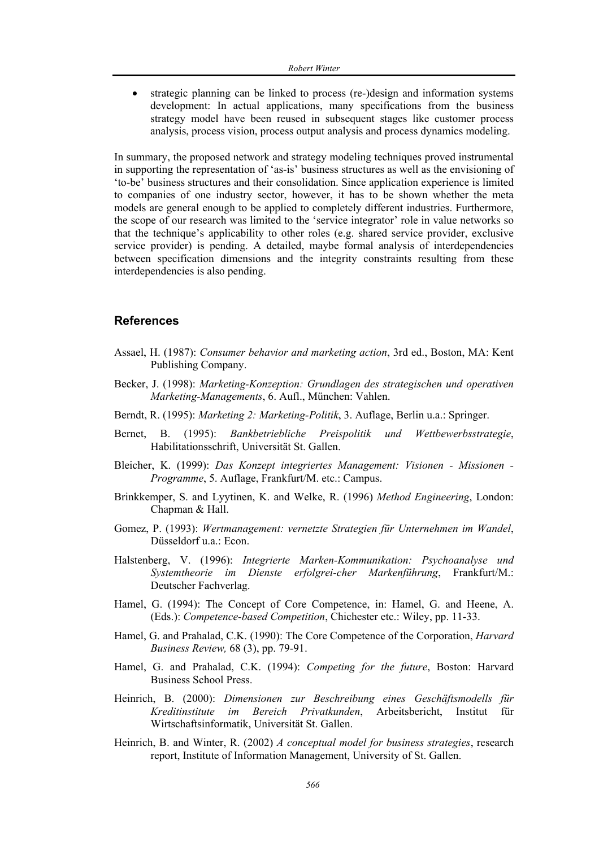strategic planning can be linked to process (re-)design and information systems development: In actual applications, many specifications from the business strategy model have been reused in subsequent stages like customer process analysis, process vision, process output analysis and process dynamics modeling.

In summary, the proposed network and strategy modeling techniques proved instrumental in supporting the representation of 'as-is' business structures as well as the envisioning of 'to-be' business structures and their consolidation. Since application experience is limited to companies of one industry sector, however, it has to be shown whether the meta models are general enough to be applied to completely different industries. Furthermore, the scope of our research was limited to the 'service integrator' role in value networks so that the technique's applicability to other roles (e.g. shared service provider, exclusive service provider) is pending. A detailed, maybe formal analysis of interdependencies between specification dimensions and the integrity constraints resulting from these interdependencies is also pending.

#### **References**

- Assael, H. (1987): *Consumer behavior and marketing action*, 3rd ed., Boston, MA: Kent Publishing Company.
- Becker, J. (1998): *Marketing-Konzeption: Grundlagen des strategischen und operativen Marketing-Managements*, 6. Aufl., München: Vahlen.
- Berndt, R. (1995): *Marketing 2: Marketing-Politik*, 3. Auflage, Berlin u.a.: Springer.
- Bernet, B. (1995): *Bankbetriebliche Preispolitik und Wettbewerbsstrategie*, Habilitationsschrift, Universität St. Gallen.
- Bleicher, K. (1999): *Das Konzept integriertes Management: Visionen Missionen Programme*, 5. Auflage, Frankfurt/M. etc.: Campus.
- Brinkkemper, S. and Lyytinen, K. and Welke, R. (1996) *Method Engineering*, London: Chapman & Hall.
- Gomez, P. (1993): *Wertmanagement: vernetzte Strategien für Unternehmen im Wandel*, Düsseldorf u.a.: Econ.
- Halstenberg, V. (1996): *Integrierte Marken-Kommunikation: Psychoanalyse und Systemtheorie im Dienste erfolgrei-cher Markenführung*, Frankfurt/M.: Deutscher Fachverlag.
- Hamel, G. (1994): The Concept of Core Competence, in: Hamel, G. and Heene, A. (Eds.): *Competence-based Competition*, Chichester etc.: Wiley, pp. 11-33.
- Hamel, G. and Prahalad, C.K. (1990): The Core Competence of the Corporation, *Harvard Business Review,* 68 (3), pp. 79-91.
- Hamel, G. and Prahalad, C.K. (1994): *Competing for the future*, Boston: Harvard Business School Press.
- Heinrich, B. (2000): *Dimensionen zur Beschreibung eines Geschäftsmodells für Kreditinstitute im Bereich Privatkunden*, Arbeitsbericht, Institut für Wirtschaftsinformatik, Universität St. Gallen.
- Heinrich, B. and Winter, R. (2002) *A conceptual model for business strategies*, research report, Institute of Information Management, University of St. Gallen.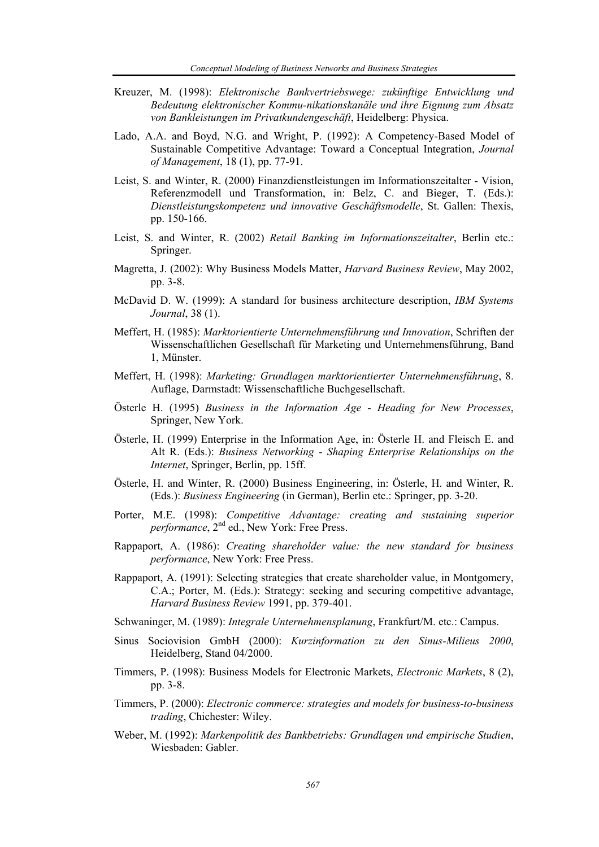- Kreuzer, M. (1998): *Elektronische Bankvertriebswege: zukünftige Entwicklung und Bedeutung elektronischer Kommu-nikationskanäle und ihre Eignung zum Absatz von Bankleistungen im Privatkundengeschäft*, Heidelberg: Physica.
- Lado, A.A. and Boyd, N.G. and Wright, P. (1992): A Competency-Based Model of Sustainable Competitive Advantage: Toward a Conceptual Integration, *Journal of Management*, 18 (1), pp. 77-91.
- Leist, S. and Winter, R. (2000) Finanzdienstleistungen im Informationszeitalter Vision, Referenzmodell und Transformation, in: Belz, C. and Bieger, T. (Eds.): *Dienstleistungskompetenz und innovative Geschäftsmodelle*, St. Gallen: Thexis, pp. 150-166.
- Leist, S. and Winter, R. (2002) *Retail Banking im Informationszeitalter*, Berlin etc.: Springer.
- Magretta, J. (2002): Why Business Models Matter, *Harvard Business Review*, May 2002, pp. 3-8.
- McDavid D. W. (1999): A standard for business architecture description, *IBM Systems Journal*, 38 (1).
- Meffert, H. (1985): *Marktorientierte Unternehmensführung und Innovation*, Schriften der Wissenschaftlichen Gesellschaft für Marketing und Unternehmensführung, Band 1, Münster.
- Meffert, H. (1998): *Marketing: Grundlagen marktorientierter Unternehmensführung*, 8. Auflage, Darmstadt: Wissenschaftliche Buchgesellschaft.
- Österle H. (1995) *Business in the Information Age Heading for New Processes*, Springer, New York.
- Österle, H. (1999) Enterprise in the Information Age, in: Österle H. and Fleisch E. and Alt R. (Eds.): *Business Networking - Shaping Enterprise Relationships on the Internet*, Springer, Berlin, pp. 15ff.
- Österle, H. and Winter, R. (2000) Business Engineering, in: Österle, H. and Winter, R. (Eds.): *Business Engineering* (in German), Berlin etc.: Springer, pp. 3-20.
- Porter, M.E. (1998): *Competitive Advantage: creating and sustaining superior performance*, 2nd ed., New York: Free Press.
- Rappaport, A. (1986): *Creating shareholder value: the new standard for business performance*, New York: Free Press.
- Rappaport, A. (1991): Selecting strategies that create shareholder value, in Montgomery, C.A.; Porter, M. (Eds.): Strategy: seeking and securing competitive advantage, *Harvard Business Review* 1991, pp. 379-401.
- Schwaninger, M. (1989): *Integrale Unternehmensplanung*, Frankfurt/M. etc.: Campus.
- Sinus Sociovision GmbH (2000): *Kurzinformation zu den Sinus-Milieus 2000*, Heidelberg, Stand 04/2000.
- Timmers, P. (1998): Business Models for Electronic Markets, *Electronic Markets*, 8 (2), pp. 3-8.
- Timmers, P. (2000): *Electronic commerce: strategies and models for business-to-business trading*, Chichester: Wiley.
- Weber, M. (1992): *Markenpolitik des Bankbetriebs: Grundlagen und empirische Studien*, Wiesbaden: Gabler.